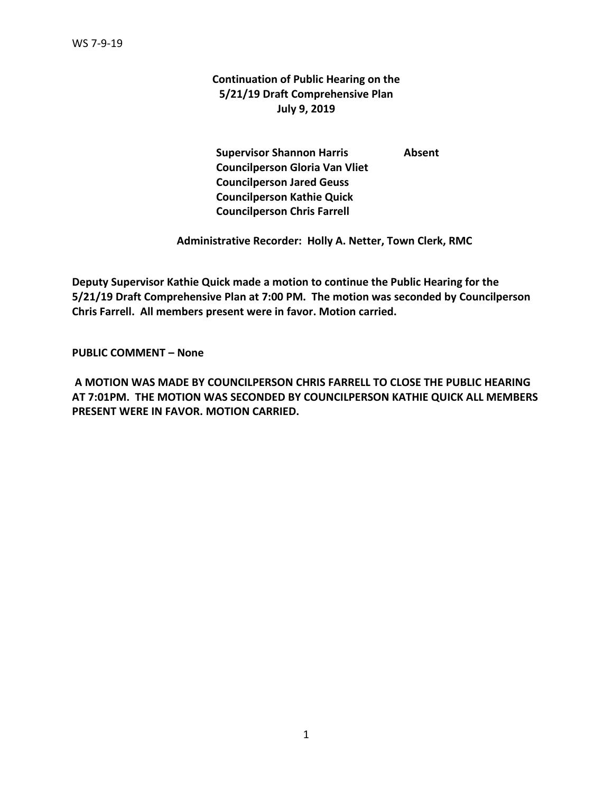# **Continuation of Public Hearing on the 5/21/19 Draft Comprehensive Plan July 9, 2019**

**Supervisor Shannon Harris Absent Councilperson Gloria Van Vliet Councilperson Jared Geuss Councilperson Kathie Quick Councilperson Chris Farrell**

 **Administrative Recorder: Holly A. Netter, Town Clerk, RMC**

**Deputy Supervisor Kathie Quick made a motion to continue the Public Hearing for the 5/21/19 Draft Comprehensive Plan at 7:00 PM. The motion was seconded by Councilperson Chris Farrell. All members present were in favor. Motion carried.** 

**PUBLIC COMMENT – None**

**A MOTION WAS MADE BY COUNCILPERSON CHRIS FARRELL TO CLOSE THE PUBLIC HEARING AT 7:01PM. THE MOTION WAS SECONDED BY COUNCILPERSON KATHIE QUICK ALL MEMBERS PRESENT WERE IN FAVOR. MOTION CARRIED.**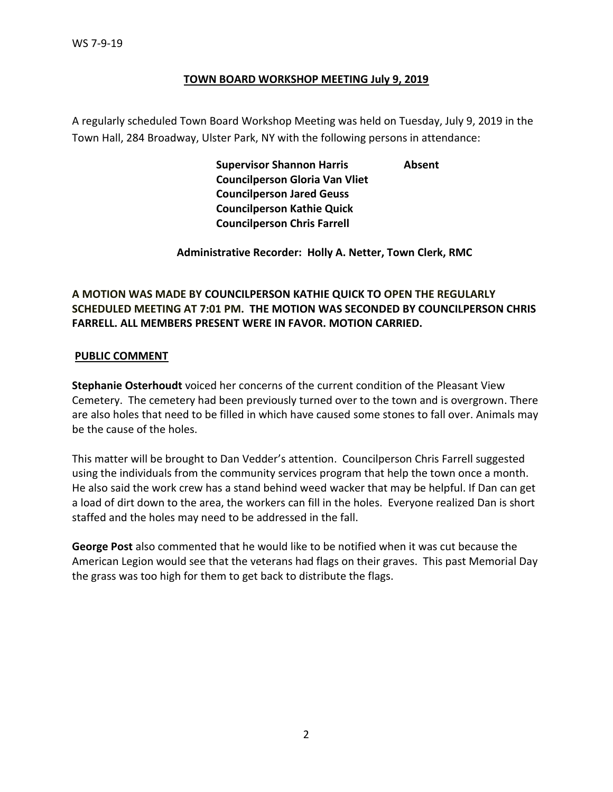## **TOWN BOARD WORKSHOP MEETING July 9, 2019**

A regularly scheduled Town Board Workshop Meeting was held on Tuesday, July 9, 2019 in the Town Hall, 284 Broadway, Ulster Park, NY with the following persons in attendance:

> **Supervisor Shannon Harris Absent Councilperson Gloria Van Vliet Councilperson Jared Geuss Councilperson Kathie Quick Councilperson Chris Farrell**

 **Administrative Recorder: Holly A. Netter, Town Clerk, RMC**

# **A MOTION WAS MADE BY COUNCILPERSON KATHIE QUICK TO OPEN THE REGULARLY SCHEDULED MEETING AT 7:01 PM. THE MOTION WAS SECONDED BY COUNCILPERSON CHRIS FARRELL. ALL MEMBERS PRESENT WERE IN FAVOR. MOTION CARRIED.**

## **PUBLIC COMMENT**

**Stephanie Osterhoudt** voiced her concerns of the current condition of the Pleasant View Cemetery. The cemetery had been previously turned over to the town and is overgrown. There are also holes that need to be filled in which have caused some stones to fall over. Animals may be the cause of the holes.

This matter will be brought to Dan Vedder's attention. Councilperson Chris Farrell suggested using the individuals from the community services program that help the town once a month. He also said the work crew has a stand behind weed wacker that may be helpful. If Dan can get a load of dirt down to the area, the workers can fill in the holes. Everyone realized Dan is short staffed and the holes may need to be addressed in the fall.

**George Post** also commented that he would like to be notified when it was cut because the American Legion would see that the veterans had flags on their graves. This past Memorial Day the grass was too high for them to get back to distribute the flags.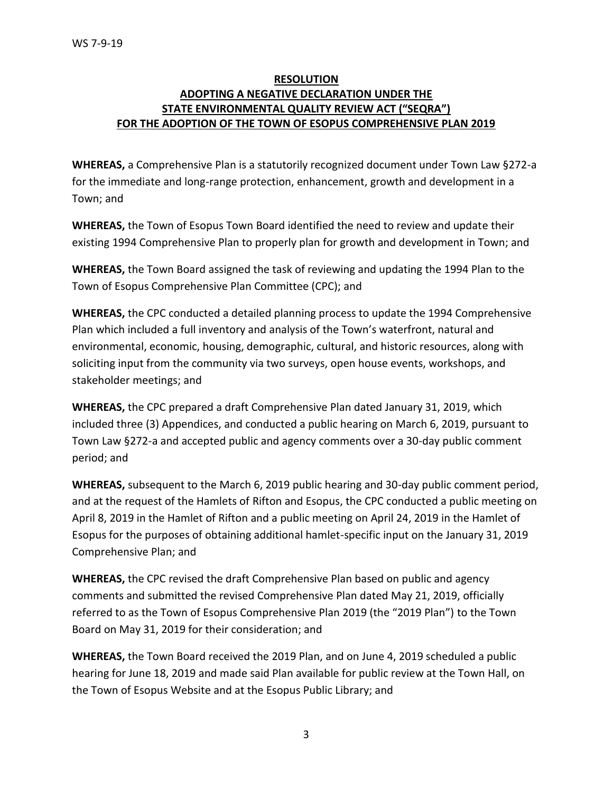# **RESOLUTION ADOPTING A NEGATIVE DECLARATION UNDER THE STATE ENVIRONMENTAL QUALITY REVIEW ACT ("SEQRA") FOR THE ADOPTION OF THE TOWN OF ESOPUS COMPREHENSIVE PLAN 2019**

**WHEREAS,** a Comprehensive Plan is a statutorily recognized document under Town Law §272-a for the immediate and long-range protection, enhancement, growth and development in a Town; and

**WHEREAS,** the Town of Esopus Town Board identified the need to review and update their existing 1994 Comprehensive Plan to properly plan for growth and development in Town; and

**WHEREAS,** the Town Board assigned the task of reviewing and updating the 1994 Plan to the Town of Esopus Comprehensive Plan Committee (CPC); and

**WHEREAS,** the CPC conducted a detailed planning process to update the 1994 Comprehensive Plan which included a full inventory and analysis of the Town's waterfront, natural and environmental, economic, housing, demographic, cultural, and historic resources, along with soliciting input from the community via two surveys, open house events, workshops, and stakeholder meetings; and

**WHEREAS,** the CPC prepared a draft Comprehensive Plan dated January 31, 2019, which included three (3) Appendices, and conducted a public hearing on March 6, 2019, pursuant to Town Law §272-a and accepted public and agency comments over a 30-day public comment period; and

**WHEREAS,** subsequent to the March 6, 2019 public hearing and 30-day public comment period, and at the request of the Hamlets of Rifton and Esopus, the CPC conducted a public meeting on April 8, 2019 in the Hamlet of Rifton and a public meeting on April 24, 2019 in the Hamlet of Esopus for the purposes of obtaining additional hamlet-specific input on the January 31, 2019 Comprehensive Plan; and

**WHEREAS,** the CPC revised the draft Comprehensive Plan based on public and agency comments and submitted the revised Comprehensive Plan dated May 21, 2019, officially referred to as the Town of Esopus Comprehensive Plan 2019 (the "2019 Plan") to the Town Board on May 31, 2019 for their consideration; and

**WHEREAS,** the Town Board received the 2019 Plan, and on June 4, 2019 scheduled a public hearing for June 18, 2019 and made said Plan available for public review at the Town Hall, on the Town of Esopus Website and at the Esopus Public Library; and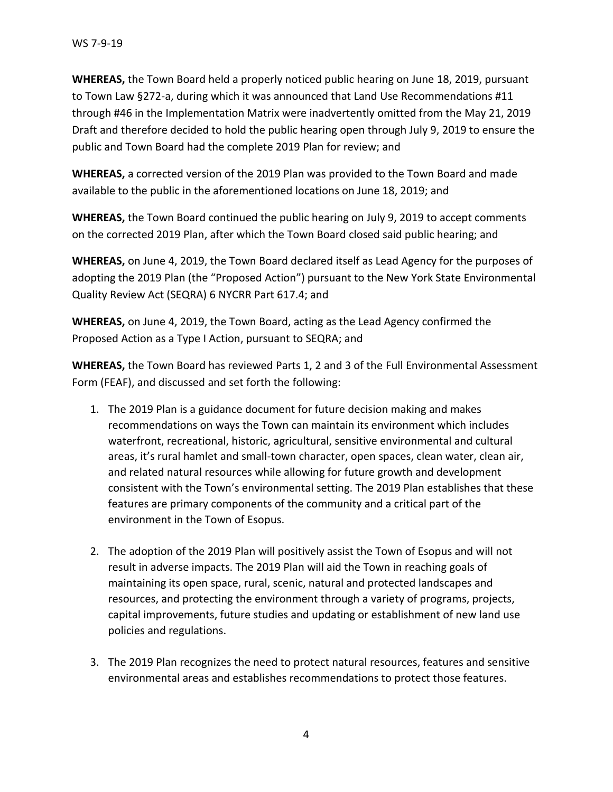**WHEREAS,** the Town Board held a properly noticed public hearing on June 18, 2019, pursuant to Town Law §272-a, during which it was announced that Land Use Recommendations #11 through #46 in the Implementation Matrix were inadvertently omitted from the May 21, 2019 Draft and therefore decided to hold the public hearing open through July 9, 2019 to ensure the public and Town Board had the complete 2019 Plan for review; and

**WHEREAS,** a corrected version of the 2019 Plan was provided to the Town Board and made available to the public in the aforementioned locations on June 18, 2019; and

**WHEREAS,** the Town Board continued the public hearing on July 9, 2019 to accept comments on the corrected 2019 Plan, after which the Town Board closed said public hearing; and

**WHEREAS,** on June 4, 2019, the Town Board declared itself as Lead Agency for the purposes of adopting the 2019 Plan (the "Proposed Action") pursuant to the New York State Environmental Quality Review Act (SEQRA) 6 NYCRR Part 617.4; and

**WHEREAS,** on June 4, 2019, the Town Board, acting as the Lead Agency confirmed the Proposed Action as a Type I Action, pursuant to SEQRA; and

**WHEREAS,** the Town Board has reviewed Parts 1, 2 and 3 of the Full Environmental Assessment Form (FEAF), and discussed and set forth the following:

- 1. The 2019 Plan is a guidance document for future decision making and makes recommendations on ways the Town can maintain its environment which includes waterfront, recreational, historic, agricultural, sensitive environmental and cultural areas, it's rural hamlet and small-town character, open spaces, clean water, clean air, and related natural resources while allowing for future growth and development consistent with the Town's environmental setting. The 2019 Plan establishes that these features are primary components of the community and a critical part of the environment in the Town of Esopus.
- 2. The adoption of the 2019 Plan will positively assist the Town of Esopus and will not result in adverse impacts. The 2019 Plan will aid the Town in reaching goals of maintaining its open space, rural, scenic, natural and protected landscapes and resources, and protecting the environment through a variety of programs, projects, capital improvements, future studies and updating or establishment of new land use policies and regulations.
- 3. The 2019 Plan recognizes the need to protect natural resources, features and sensitive environmental areas and establishes recommendations to protect those features.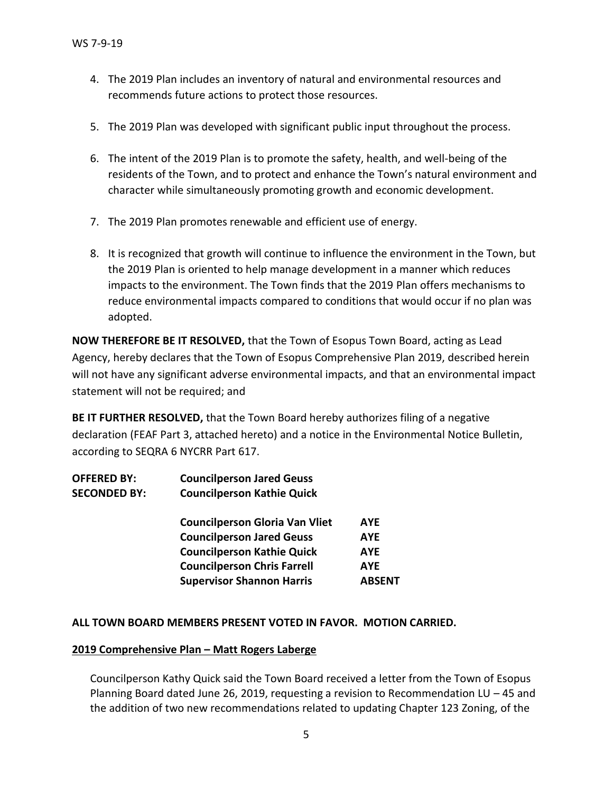- 4. The 2019 Plan includes an inventory of natural and environmental resources and recommends future actions to protect those resources.
- 5. The 2019 Plan was developed with significant public input throughout the process.
- 6. The intent of the 2019 Plan is to promote the safety, health, and well-being of the residents of the Town, and to protect and enhance the Town's natural environment and character while simultaneously promoting growth and economic development.
- 7. The 2019 Plan promotes renewable and efficient use of energy.
- 8. It is recognized that growth will continue to influence the environment in the Town, but the 2019 Plan is oriented to help manage development in a manner which reduces impacts to the environment. The Town finds that the 2019 Plan offers mechanisms to reduce environmental impacts compared to conditions that would occur if no plan was adopted.

**NOW THEREFORE BE IT RESOLVED,** that the Town of Esopus Town Board, acting as Lead Agency, hereby declares that the Town of Esopus Comprehensive Plan 2019, described herein will not have any significant adverse environmental impacts, and that an environmental impact statement will not be required; and

**BE IT FURTHER RESOLVED,** that the Town Board hereby authorizes filing of a negative declaration (FEAF Part 3, attached hereto) and a notice in the Environmental Notice Bulletin, according to SEQRA 6 NYCRR Part 617.

| <b>OFFERED BY:</b>  | <b>Councilperson Jared Geuss</b>  |
|---------------------|-----------------------------------|
| <b>SECONDED BY:</b> | <b>Councilperson Kathie Quick</b> |
|                     |                                   |

| <b>Councilperson Gloria Van Vliet</b> | <b>AYE</b>    |
|---------------------------------------|---------------|
| <b>Councilperson Jared Geuss</b>      | <b>AYE</b>    |
| <b>Councilperson Kathie Quick</b>     | <b>AYE</b>    |
| <b>Councilperson Chris Farrell</b>    | <b>AYE</b>    |
| <b>Supervisor Shannon Harris</b>      | <b>ABSENT</b> |

## **ALL TOWN BOARD MEMBERS PRESENT VOTED IN FAVOR. MOTION CARRIED.**

## **2019 Comprehensive Plan – Matt Rogers Laberge**

Councilperson Kathy Quick said the Town Board received a letter from the Town of Esopus Planning Board dated June 26, 2019, requesting a revision to Recommendation LU – 45 and the addition of two new recommendations related to updating Chapter 123 Zoning, of the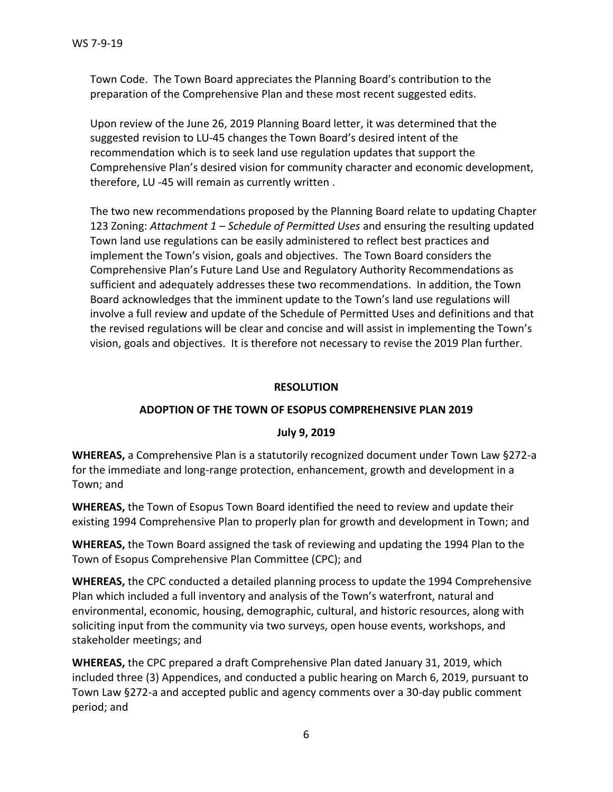Town Code. The Town Board appreciates the Planning Board's contribution to the preparation of the Comprehensive Plan and these most recent suggested edits.

Upon review of the June 26, 2019 Planning Board letter, it was determined that the suggested revision to LU-45 changes the Town Board's desired intent of the recommendation which is to seek land use regulation updates that support the Comprehensive Plan's desired vision for community character and economic development, therefore, LU -45 will remain as currently written .

The two new recommendations proposed by the Planning Board relate to updating Chapter 123 Zoning: *Attachment 1 – Schedule of Permitted Uses* and ensuring the resulting updated Town land use regulations can be easily administered to reflect best practices and implement the Town's vision, goals and objectives. The Town Board considers the Comprehensive Plan's Future Land Use and Regulatory Authority Recommendations as sufficient and adequately addresses these two recommendations. In addition, the Town Board acknowledges that the imminent update to the Town's land use regulations will involve a full review and update of the Schedule of Permitted Uses and definitions and that the revised regulations will be clear and concise and will assist in implementing the Town's vision, goals and objectives. It is therefore not necessary to revise the 2019 Plan further.

## **RESOLUTION**

# **ADOPTION OF THE TOWN OF ESOPUS COMPREHENSIVE PLAN 2019**

## **July 9, 2019**

**WHEREAS,** a Comprehensive Plan is a statutorily recognized document under Town Law §272-a for the immediate and long-range protection, enhancement, growth and development in a Town; and

**WHEREAS,** the Town of Esopus Town Board identified the need to review and update their existing 1994 Comprehensive Plan to properly plan for growth and development in Town; and

**WHEREAS,** the Town Board assigned the task of reviewing and updating the 1994 Plan to the Town of Esopus Comprehensive Plan Committee (CPC); and

**WHEREAS,** the CPC conducted a detailed planning process to update the 1994 Comprehensive Plan which included a full inventory and analysis of the Town's waterfront, natural and environmental, economic, housing, demographic, cultural, and historic resources, along with soliciting input from the community via two surveys, open house events, workshops, and stakeholder meetings; and

**WHEREAS,** the CPC prepared a draft Comprehensive Plan dated January 31, 2019, which included three (3) Appendices, and conducted a public hearing on March 6, 2019, pursuant to Town Law §272-a and accepted public and agency comments over a 30-day public comment period; and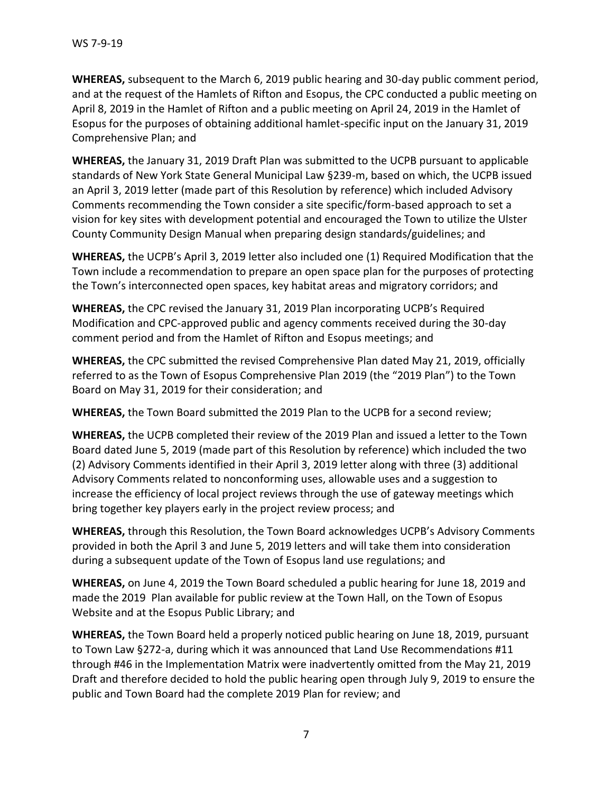**WHEREAS,** subsequent to the March 6, 2019 public hearing and 30-day public comment period, and at the request of the Hamlets of Rifton and Esopus, the CPC conducted a public meeting on April 8, 2019 in the Hamlet of Rifton and a public meeting on April 24, 2019 in the Hamlet of Esopus for the purposes of obtaining additional hamlet-specific input on the January 31, 2019 Comprehensive Plan; and

**WHEREAS,** the January 31, 2019 Draft Plan was submitted to the UCPB pursuant to applicable standards of New York State General Municipal Law §239-m, based on which, the UCPB issued an April 3, 2019 letter (made part of this Resolution by reference) which included Advisory Comments recommending the Town consider a site specific/form-based approach to set a vision for key sites with development potential and encouraged the Town to utilize the Ulster County Community Design Manual when preparing design standards/guidelines; and

**WHEREAS,** the UCPB's April 3, 2019 letter also included one (1) Required Modification that the Town include a recommendation to prepare an open space plan for the purposes of protecting the Town's interconnected open spaces, key habitat areas and migratory corridors; and

**WHEREAS,** the CPC revised the January 31, 2019 Plan incorporating UCPB's Required Modification and CPC-approved public and agency comments received during the 30-day comment period and from the Hamlet of Rifton and Esopus meetings; and

**WHEREAS,** the CPC submitted the revised Comprehensive Plan dated May 21, 2019, officially referred to as the Town of Esopus Comprehensive Plan 2019 (the "2019 Plan") to the Town Board on May 31, 2019 for their consideration; and

**WHEREAS,** the Town Board submitted the 2019 Plan to the UCPB for a second review;

**WHEREAS,** the UCPB completed their review of the 2019 Plan and issued a letter to the Town Board dated June 5, 2019 (made part of this Resolution by reference) which included the two (2) Advisory Comments identified in their April 3, 2019 letter along with three (3) additional Advisory Comments related to nonconforming uses, allowable uses and a suggestion to increase the efficiency of local project reviews through the use of gateway meetings which bring together key players early in the project review process; and

**WHEREAS,** through this Resolution, the Town Board acknowledges UCPB's Advisory Comments provided in both the April 3 and June 5, 2019 letters and will take them into consideration during a subsequent update of the Town of Esopus land use regulations; and

**WHEREAS,** on June 4, 2019 the Town Board scheduled a public hearing for June 18, 2019 and made the 2019 Plan available for public review at the Town Hall, on the Town of Esopus Website and at the Esopus Public Library; and

**WHEREAS,** the Town Board held a properly noticed public hearing on June 18, 2019, pursuant to Town Law §272-a, during which it was announced that Land Use Recommendations #11 through #46 in the Implementation Matrix were inadvertently omitted from the May 21, 2019 Draft and therefore decided to hold the public hearing open through July 9, 2019 to ensure the public and Town Board had the complete 2019 Plan for review; and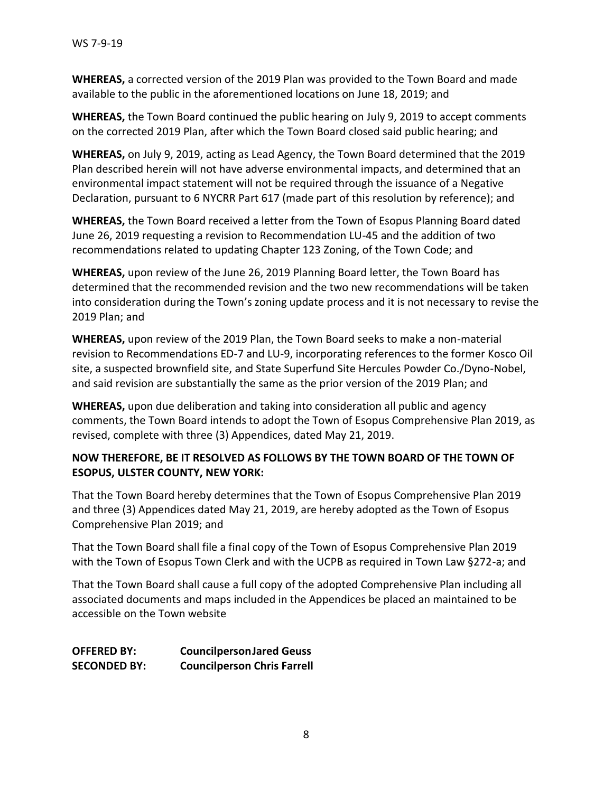**WHEREAS,** a corrected version of the 2019 Plan was provided to the Town Board and made available to the public in the aforementioned locations on June 18, 2019; and

**WHEREAS,** the Town Board continued the public hearing on July 9, 2019 to accept comments on the corrected 2019 Plan, after which the Town Board closed said public hearing; and

**WHEREAS,** on July 9, 2019, acting as Lead Agency, the Town Board determined that the 2019 Plan described herein will not have adverse environmental impacts, and determined that an environmental impact statement will not be required through the issuance of a Negative Declaration, pursuant to 6 NYCRR Part 617 (made part of this resolution by reference); and

**WHEREAS,** the Town Board received a letter from the Town of Esopus Planning Board dated June 26, 2019 requesting a revision to Recommendation LU-45 and the addition of two recommendations related to updating Chapter 123 Zoning, of the Town Code; and

**WHEREAS,** upon review of the June 26, 2019 Planning Board letter, the Town Board has determined that the recommended revision and the two new recommendations will be taken into consideration during the Town's zoning update process and it is not necessary to revise the 2019 Plan; and

**WHEREAS,** upon review of the 2019 Plan, the Town Board seeks to make a non-material revision to Recommendations ED-7 and LU-9, incorporating references to the former Kosco Oil site, a suspected brownfield site, and State Superfund Site Hercules Powder Co./Dyno-Nobel, and said revision are substantially the same as the prior version of the 2019 Plan; and

**WHEREAS,** upon due deliberation and taking into consideration all public and agency comments, the Town Board intends to adopt the Town of Esopus Comprehensive Plan 2019, as revised, complete with three (3) Appendices, dated May 21, 2019.

# **NOW THEREFORE, BE IT RESOLVED AS FOLLOWS BY THE TOWN BOARD OF THE TOWN OF ESOPUS, ULSTER COUNTY, NEW YORK:**

That the Town Board hereby determines that the Town of Esopus Comprehensive Plan 2019 and three (3) Appendices dated May 21, 2019, are hereby adopted as the Town of Esopus Comprehensive Plan 2019; and

That the Town Board shall file a final copy of the Town of Esopus Comprehensive Plan 2019 with the Town of Esopus Town Clerk and with the UCPB as required in Town Law §272-a; and

That the Town Board shall cause a full copy of the adopted Comprehensive Plan including all associated documents and maps included in the Appendices be placed an maintained to be accessible on the Town website

**OFFERED BY: CouncilpersonJared Geuss SECONDED BY: Councilperson Chris Farrell**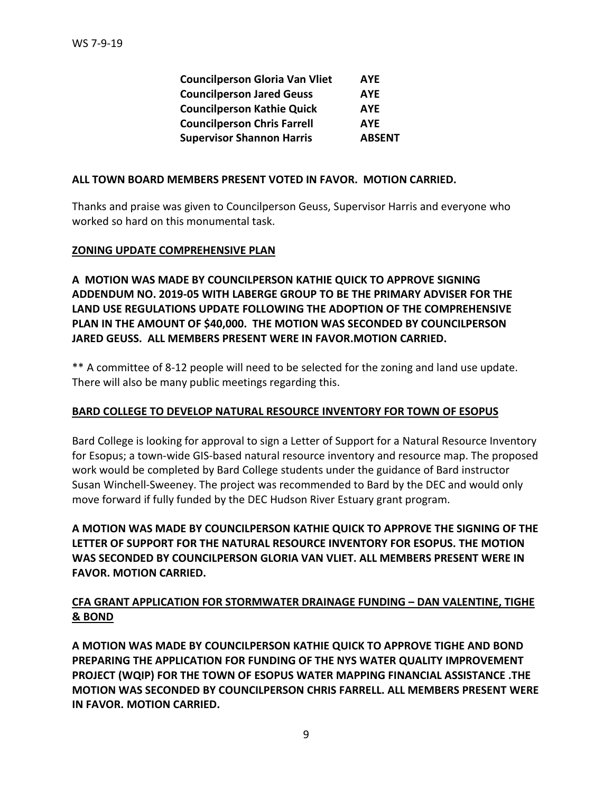| <b>Councilperson Gloria Van Vliet</b> | <b>AYE</b>    |
|---------------------------------------|---------------|
| <b>Councilperson Jared Geuss</b>      | <b>AYE</b>    |
| <b>Councilperson Kathie Quick</b>     | <b>AYE</b>    |
| <b>Councilperson Chris Farrell</b>    | <b>AYE</b>    |
| <b>Supervisor Shannon Harris</b>      | <b>ABSENT</b> |

#### **ALL TOWN BOARD MEMBERS PRESENT VOTED IN FAVOR. MOTION CARRIED.**

Thanks and praise was given to Councilperson Geuss, Supervisor Harris and everyone who worked so hard on this monumental task.

## **ZONING UPDATE COMPREHENSIVE PLAN**

**A MOTION WAS MADE BY COUNCILPERSON KATHIE QUICK TO APPROVE SIGNING ADDENDUM NO. 2019-05 WITH LABERGE GROUP TO BE THE PRIMARY ADVISER FOR THE LAND USE REGULATIONS UPDATE FOLLOWING THE ADOPTION OF THE COMPREHENSIVE PLAN IN THE AMOUNT OF \$40,000. THE MOTION WAS SECONDED BY COUNCILPERSON JARED GEUSS. ALL MEMBERS PRESENT WERE IN FAVOR.MOTION CARRIED.**

\*\* A committee of 8-12 people will need to be selected for the zoning and land use update. There will also be many public meetings regarding this.

## **BARD COLLEGE TO DEVELOP NATURAL RESOURCE INVENTORY FOR TOWN OF ESOPUS**

Bard College is looking for approval to sign a Letter of Support for a Natural Resource Inventory for Esopus; a town-wide GIS-based natural resource inventory and resource map. The proposed work would be completed by Bard College students under the guidance of Bard instructor Susan Winchell-Sweeney. The project was recommended to Bard by the DEC and would only move forward if fully funded by the DEC Hudson River Estuary grant program.

**A MOTION WAS MADE BY COUNCILPERSON KATHIE QUICK TO APPROVE THE SIGNING OF THE LETTER OF SUPPORT FOR THE NATURAL RESOURCE INVENTORY FOR ESOPUS. THE MOTION WAS SECONDED BY COUNCILPERSON GLORIA VAN VLIET. ALL MEMBERS PRESENT WERE IN FAVOR. MOTION CARRIED.**

# **CFA GRANT APPLICATION FOR STORMWATER DRAINAGE FUNDING – DAN VALENTINE, TIGHE & BOND**

**A MOTION WAS MADE BY COUNCILPERSON KATHIE QUICK TO APPROVE TIGHE AND BOND PREPARING THE APPLICATION FOR FUNDING OF THE NYS WATER QUALITY IMPROVEMENT PROJECT (WQIP) FOR THE TOWN OF ESOPUS WATER MAPPING FINANCIAL ASSISTANCE .THE MOTION WAS SECONDED BY COUNCILPERSON CHRIS FARRELL. ALL MEMBERS PRESENT WERE IN FAVOR. MOTION CARRIED.**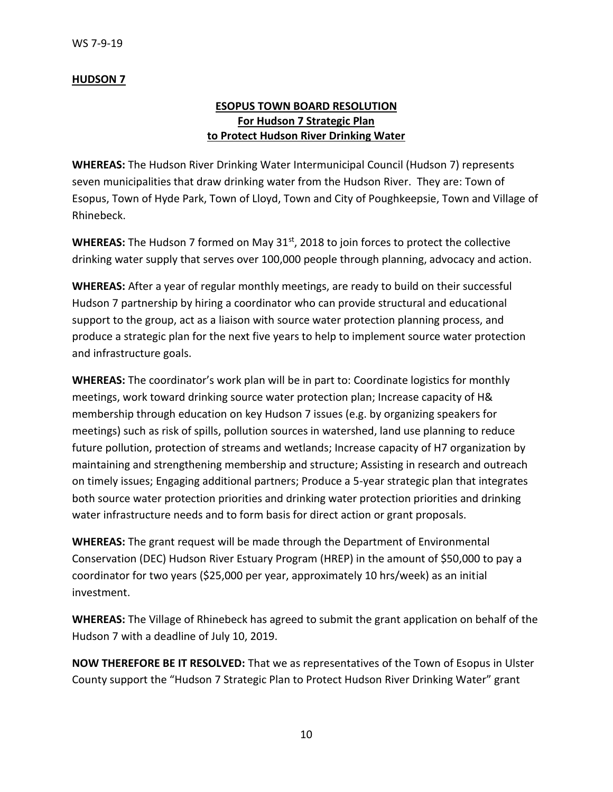## **HUDSON 7**

# **ESOPUS TOWN BOARD RESOLUTION For Hudson 7 Strategic Plan to Protect Hudson River Drinking Water**

**WHEREAS:** The Hudson River Drinking Water Intermunicipal Council (Hudson 7) represents seven municipalities that draw drinking water from the Hudson River. They are: Town of Esopus, Town of Hyde Park, Town of Lloyd, Town and City of Poughkeepsie, Town and Village of Rhinebeck.

**WHEREAS:** The Hudson 7 formed on May 31<sup>st</sup>, 2018 to join forces to protect the collective drinking water supply that serves over 100,000 people through planning, advocacy and action.

**WHEREAS:** After a year of regular monthly meetings, are ready to build on their successful Hudson 7 partnership by hiring a coordinator who can provide structural and educational support to the group, act as a liaison with source water protection planning process, and produce a strategic plan for the next five years to help to implement source water protection and infrastructure goals.

**WHEREAS:** The coordinator's work plan will be in part to: Coordinate logistics for monthly meetings, work toward drinking source water protection plan; Increase capacity of H& membership through education on key Hudson 7 issues (e.g. by organizing speakers for meetings) such as risk of spills, pollution sources in watershed, land use planning to reduce future pollution, protection of streams and wetlands; Increase capacity of H7 organization by maintaining and strengthening membership and structure; Assisting in research and outreach on timely issues; Engaging additional partners; Produce a 5-year strategic plan that integrates both source water protection priorities and drinking water protection priorities and drinking water infrastructure needs and to form basis for direct action or grant proposals.

**WHEREAS:** The grant request will be made through the Department of Environmental Conservation (DEC) Hudson River Estuary Program (HREP) in the amount of \$50,000 to pay a coordinator for two years (\$25,000 per year, approximately 10 hrs/week) as an initial investment.

**WHEREAS:** The Village of Rhinebeck has agreed to submit the grant application on behalf of the Hudson 7 with a deadline of July 10, 2019.

**NOW THEREFORE BE IT RESOLVED:** That we as representatives of the Town of Esopus in Ulster County support the "Hudson 7 Strategic Plan to Protect Hudson River Drinking Water" grant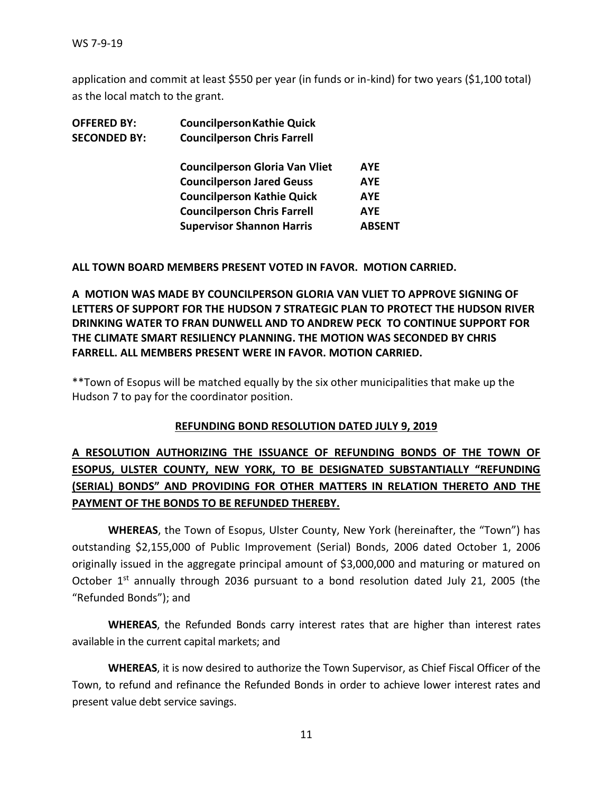application and commit at least \$550 per year (in funds or in-kind) for two years (\$1,100 total) as the local match to the grant.

| <b>OFFERED BY:</b>  | <b>Councilperson Kathie Quick</b>     |            |
|---------------------|---------------------------------------|------------|
| <b>SECONDED BY:</b> | <b>Councilperson Chris Farrell</b>    |            |
|                     | <b>Councilperson Gloria Van Vliet</b> | <b>AYE</b> |
|                     | <b>Councilperson Jared Geuss</b>      | <b>AYE</b> |
|                     | <b>Councilperson Kathie Quick</b>     | <b>AYE</b> |
|                     | <b>Councilperson Chris Farrell</b>    | <b>AYE</b> |
|                     | <b>Supervisor Shannon Harris</b>      | ABSENT     |
|                     |                                       |            |

#### **ALL TOWN BOARD MEMBERS PRESENT VOTED IN FAVOR. MOTION CARRIED.**

**A MOTION WAS MADE BY COUNCILPERSON GLORIA VAN VLIET TO APPROVE SIGNING OF LETTERS OF SUPPORT FOR THE HUDSON 7 STRATEGIC PLAN TO PROTECT THE HUDSON RIVER DRINKING WATER TO FRAN DUNWELL AND TO ANDREW PECK TO CONTINUE SUPPORT FOR THE CLIMATE SMART RESILIENCY PLANNING. THE MOTION WAS SECONDED BY CHRIS FARRELL. ALL MEMBERS PRESENT WERE IN FAVOR. MOTION CARRIED.** 

\*\*Town of Esopus will be matched equally by the six other municipalities that make up the Hudson 7 to pay for the coordinator position.

## **REFUNDING BOND RESOLUTION DATED JULY 9, 2019**

# **A RESOLUTION AUTHORIZING THE ISSUANCE OF REFUNDING BONDS OF THE TOWN OF ESOPUS, ULSTER COUNTY, NEW YORK, TO BE DESIGNATED SUBSTANTIALLY "REFUNDING (SERIAL) BONDS" AND PROVIDING FOR OTHER MATTERS IN RELATION THERETO AND THE PAYMENT OF THE BONDS TO BE REFUNDED THEREBY.**

**WHEREAS**, the Town of Esopus, Ulster County, New York (hereinafter, the "Town") has outstanding \$2,155,000 of Public Improvement (Serial) Bonds, 2006 dated October 1, 2006 originally issued in the aggregate principal amount of \$3,000,000 and maturing or matured on October 1<sup>st</sup> annually through 2036 pursuant to a bond resolution dated July 21, 2005 (the "Refunded Bonds"); and

**WHEREAS**, the Refunded Bonds carry interest rates that are higher than interest rates available in the current capital markets; and

**WHEREAS**, it is now desired to authorize the Town Supervisor, as Chief Fiscal Officer of the Town, to refund and refinance the Refunded Bonds in order to achieve lower interest rates and present value debt service savings.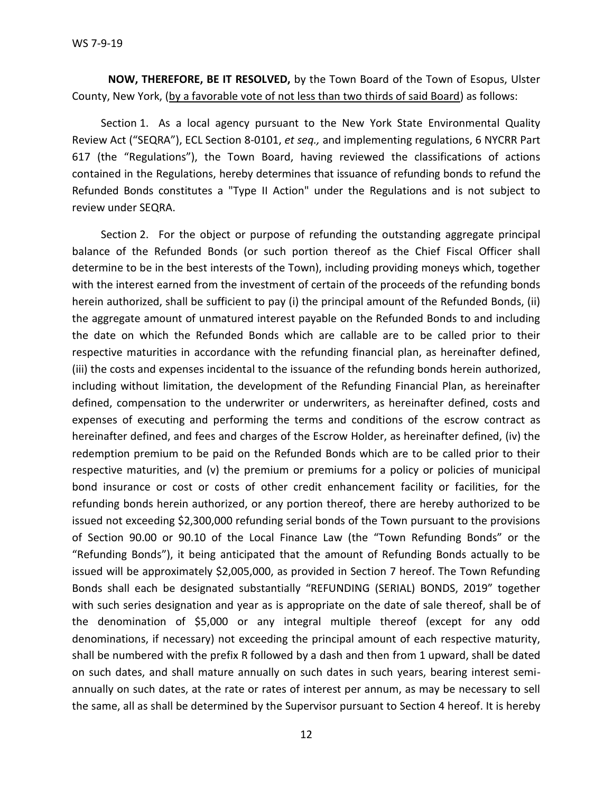**NOW, THEREFORE, BE IT RESOLVED,** by the Town Board of the Town of Esopus, Ulster County, New York, (by a favorable vote of not less than two thirds of said Board) as follows:

Section 1. As a local agency pursuant to the New York State Environmental Quality Review Act ("SEQRA"), ECL Section 8-0101, *et seq.,* and implementing regulations, 6 NYCRR Part 617 (the "Regulations"), the Town Board, having reviewed the classifications of actions contained in the Regulations, hereby determines that issuance of refunding bonds to refund the Refunded Bonds constitutes a "Type II Action" under the Regulations and is not subject to review under SEQRA.

Section 2. For the object or purpose of refunding the outstanding aggregate principal balance of the Refunded Bonds (or such portion thereof as the Chief Fiscal Officer shall determine to be in the best interests of the Town), including providing moneys which, together with the interest earned from the investment of certain of the proceeds of the refunding bonds herein authorized, shall be sufficient to pay (i) the principal amount of the Refunded Bonds, (ii) the aggregate amount of unmatured interest payable on the Refunded Bonds to and including the date on which the Refunded Bonds which are callable are to be called prior to their respective maturities in accordance with the refunding financial plan, as hereinafter defined, (iii) the costs and expenses incidental to the issuance of the refunding bonds herein authorized, including without limitation, the development of the Refunding Financial Plan, as hereinafter defined, compensation to the underwriter or underwriters, as hereinafter defined, costs and expenses of executing and performing the terms and conditions of the escrow contract as hereinafter defined, and fees and charges of the Escrow Holder, as hereinafter defined, (iv) the redemption premium to be paid on the Refunded Bonds which are to be called prior to their respective maturities, and (v) the premium or premiums for a policy or policies of municipal bond insurance or cost or costs of other credit enhancement facility or facilities, for the refunding bonds herein authorized, or any portion thereof, there are hereby authorized to be issued not exceeding \$2,300,000 refunding serial bonds of the Town pursuant to the provisions of Section 90.00 or 90.10 of the Local Finance Law (the "Town Refunding Bonds" or the "Refunding Bonds"), it being anticipated that the amount of Refunding Bonds actually to be issued will be approximately \$2,005,000, as provided in Section 7 hereof. The Town Refunding Bonds shall each be designated substantially "REFUNDING (SERIAL) BONDS, 2019" together with such series designation and year as is appropriate on the date of sale thereof, shall be of the denomination of \$5,000 or any integral multiple thereof (except for any odd denominations, if necessary) not exceeding the principal amount of each respective maturity, shall be numbered with the prefix R followed by a dash and then from 1 upward, shall be dated on such dates, and shall mature annually on such dates in such years, bearing interest semiannually on such dates, at the rate or rates of interest per annum, as may be necessary to sell the same, all as shall be determined by the Supervisor pursuant to Section 4 hereof. It is hereby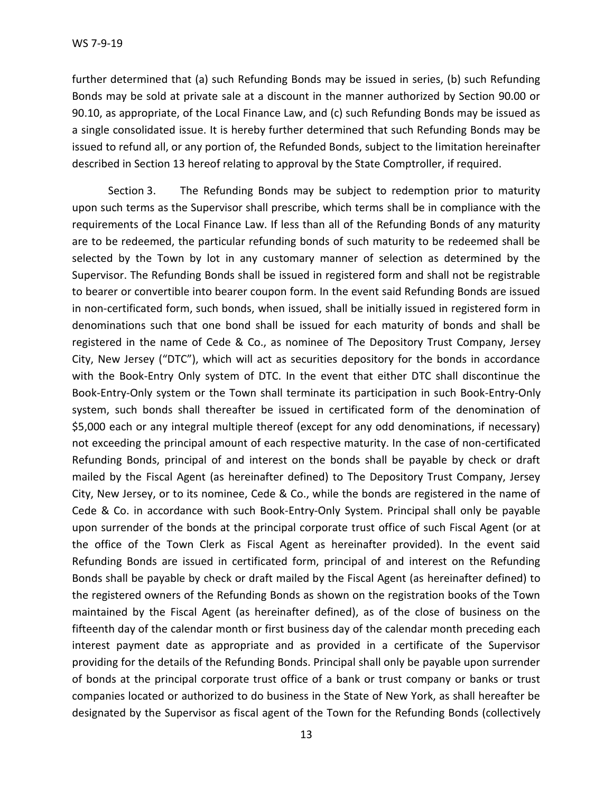further determined that (a) such Refunding Bonds may be issued in series, (b) such Refunding Bonds may be sold at private sale at a discount in the manner authorized by Section 90.00 or 90.10, as appropriate, of the Local Finance Law, and (c) such Refunding Bonds may be issued as a single consolidated issue. It is hereby further determined that such Refunding Bonds may be issued to refund all, or any portion of, the Refunded Bonds, subject to the limitation hereinafter described in Section 13 hereof relating to approval by the State Comptroller, if required.

Section 3. The Refunding Bonds may be subject to redemption prior to maturity upon such terms as the Supervisor shall prescribe, which terms shall be in compliance with the requirements of the Local Finance Law. If less than all of the Refunding Bonds of any maturity are to be redeemed, the particular refunding bonds of such maturity to be redeemed shall be selected by the Town by lot in any customary manner of selection as determined by the Supervisor. The Refunding Bonds shall be issued in registered form and shall not be registrable to bearer or convertible into bearer coupon form. In the event said Refunding Bonds are issued in non-certificated form, such bonds, when issued, shall be initially issued in registered form in denominations such that one bond shall be issued for each maturity of bonds and shall be registered in the name of Cede & Co., as nominee of The Depository Trust Company, Jersey City, New Jersey ("DTC"), which will act as securities depository for the bonds in accordance with the Book-Entry Only system of DTC. In the event that either DTC shall discontinue the Book-Entry-Only system or the Town shall terminate its participation in such Book-Entry-Only system, such bonds shall thereafter be issued in certificated form of the denomination of \$5,000 each or any integral multiple thereof (except for any odd denominations, if necessary) not exceeding the principal amount of each respective maturity. In the case of non-certificated Refunding Bonds, principal of and interest on the bonds shall be payable by check or draft mailed by the Fiscal Agent (as hereinafter defined) to The Depository Trust Company, Jersey City, New Jersey, or to its nominee, Cede & Co., while the bonds are registered in the name of Cede & Co. in accordance with such Book-Entry-Only System. Principal shall only be payable upon surrender of the bonds at the principal corporate trust office of such Fiscal Agent (or at the office of the Town Clerk as Fiscal Agent as hereinafter provided). In the event said Refunding Bonds are issued in certificated form, principal of and interest on the Refunding Bonds shall be payable by check or draft mailed by the Fiscal Agent (as hereinafter defined) to the registered owners of the Refunding Bonds as shown on the registration books of the Town maintained by the Fiscal Agent (as hereinafter defined), as of the close of business on the fifteenth day of the calendar month or first business day of the calendar month preceding each interest payment date as appropriate and as provided in a certificate of the Supervisor providing for the details of the Refunding Bonds. Principal shall only be payable upon surrender of bonds at the principal corporate trust office of a bank or trust company or banks or trust companies located or authorized to do business in the State of New York, as shall hereafter be designated by the Supervisor as fiscal agent of the Town for the Refunding Bonds (collectively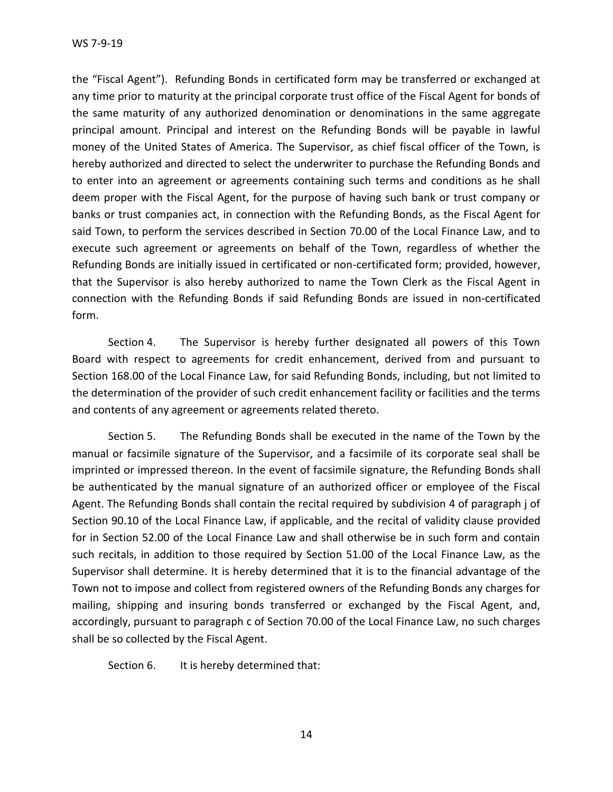WS 7-9-19

the "Fiscal Agent"). Refunding Bonds in certificated form may be transferred or exchanged at any time prior to maturity at the principal corporate trust office of the Fiscal Agent for bonds of the same maturity of any authorized denomination or denominations in the same aggregate principal amount. Principal and interest on the Refunding Bonds will be payable in lawful money of the United States of America. The Supervisor, as chief fiscal officer of the Town, is hereby authorized and directed to select the underwriter to purchase the Refunding Bonds and to enter into an agreement or agreements containing such terms and conditions as he shall deem proper with the Fiscal Agent, for the purpose of having such bank or trust company or banks or trust companies act, in connection with the Refunding Bonds, as the Fiscal Agent for said Town, to perform the services described in Section 70.00 of the Local Finance Law, and to execute such agreement or agreements on behalf of the Town, regardless of whether the Refunding Bonds are initially issued in certificated or non-certificated form; provided, however, that the Supervisor is also hereby authorized to name the Town Clerk as the Fiscal Agent in connection with the Refunding Bonds if said Refunding Bonds are issued in non-certificated form.

Section 4. The Supervisor is hereby further designated all powers of this Town Board with respect to agreements for credit enhancement, derived from and pursuant to Section 168.00 of the Local Finance Law, for said Refunding Bonds, including, but not limited to the determination of the provider of such credit enhancement facility or facilities and the terms and contents of any agreement or agreements related thereto.

Section 5. The Refunding Bonds shall be executed in the name of the Town by the manual or facsimile signature of the Supervisor, and a facsimile of its corporate seal shall be imprinted or impressed thereon. In the event of facsimile signature, the Refunding Bonds shall be authenticated by the manual signature of an authorized officer or employee of the Fiscal Agent. The Refunding Bonds shall contain the recital required by subdivision 4 of paragraph j of Section 90.10 of the Local Finance Law, if applicable, and the recital of validity clause provided for in Section 52.00 of the Local Finance Law and shall otherwise be in such form and contain such recitals, in addition to those required by Section 51.00 of the Local Finance Law, as the Supervisor shall determine. It is hereby determined that it is to the financial advantage of the Town not to impose and collect from registered owners of the Refunding Bonds any charges for mailing, shipping and insuring bonds transferred or exchanged by the Fiscal Agent, and, accordingly, pursuant to paragraph c of Section 70.00 of the Local Finance Law, no such charges shall be so collected by the Fiscal Agent.

Section 6. It is hereby determined that: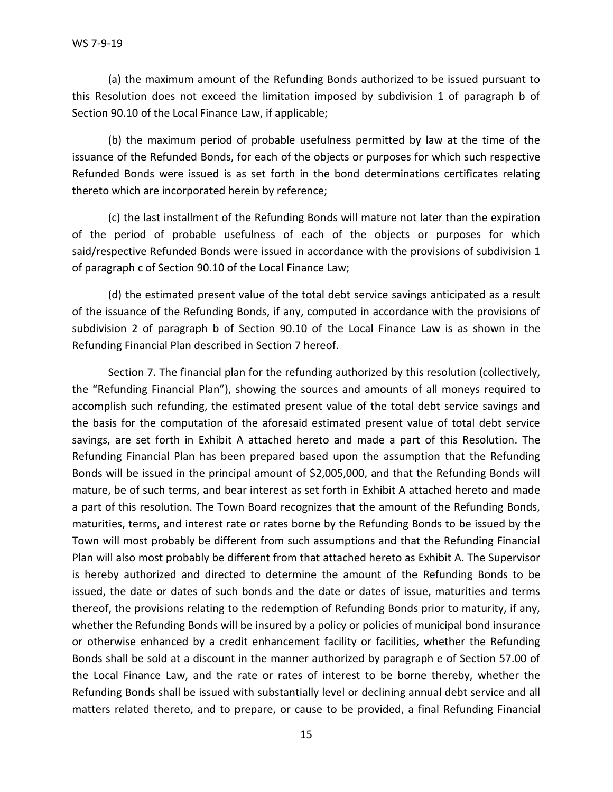(a) the maximum amount of the Refunding Bonds authorized to be issued pursuant to this Resolution does not exceed the limitation imposed by subdivision 1 of paragraph b of Section 90.10 of the Local Finance Law, if applicable;

(b) the maximum period of probable usefulness permitted by law at the time of the issuance of the Refunded Bonds, for each of the objects or purposes for which such respective Refunded Bonds were issued is as set forth in the bond determinations certificates relating thereto which are incorporated herein by reference;

(c) the last installment of the Refunding Bonds will mature not later than the expiration of the period of probable usefulness of each of the objects or purposes for which said/respective Refunded Bonds were issued in accordance with the provisions of subdivision 1 of paragraph c of Section 90.10 of the Local Finance Law;

(d) the estimated present value of the total debt service savings anticipated as a result of the issuance of the Refunding Bonds, if any, computed in accordance with the provisions of subdivision 2 of paragraph b of Section 90.10 of the Local Finance Law is as shown in the Refunding Financial Plan described in Section 7 hereof.

Section 7. The financial plan for the refunding authorized by this resolution (collectively, the "Refunding Financial Plan"), showing the sources and amounts of all moneys required to accomplish such refunding, the estimated present value of the total debt service savings and the basis for the computation of the aforesaid estimated present value of total debt service savings, are set forth in Exhibit A attached hereto and made a part of this Resolution. The Refunding Financial Plan has been prepared based upon the assumption that the Refunding Bonds will be issued in the principal amount of \$2,005,000, and that the Refunding Bonds will mature, be of such terms, and bear interest as set forth in Exhibit A attached hereto and made a part of this resolution. The Town Board recognizes that the amount of the Refunding Bonds, maturities, terms, and interest rate or rates borne by the Refunding Bonds to be issued by the Town will most probably be different from such assumptions and that the Refunding Financial Plan will also most probably be different from that attached hereto as Exhibit A. The Supervisor is hereby authorized and directed to determine the amount of the Refunding Bonds to be issued, the date or dates of such bonds and the date or dates of issue, maturities and terms thereof, the provisions relating to the redemption of Refunding Bonds prior to maturity, if any, whether the Refunding Bonds will be insured by a policy or policies of municipal bond insurance or otherwise enhanced by a credit enhancement facility or facilities, whether the Refunding Bonds shall be sold at a discount in the manner authorized by paragraph e of Section 57.00 of the Local Finance Law, and the rate or rates of interest to be borne thereby, whether the Refunding Bonds shall be issued with substantially level or declining annual debt service and all matters related thereto, and to prepare, or cause to be provided, a final Refunding Financial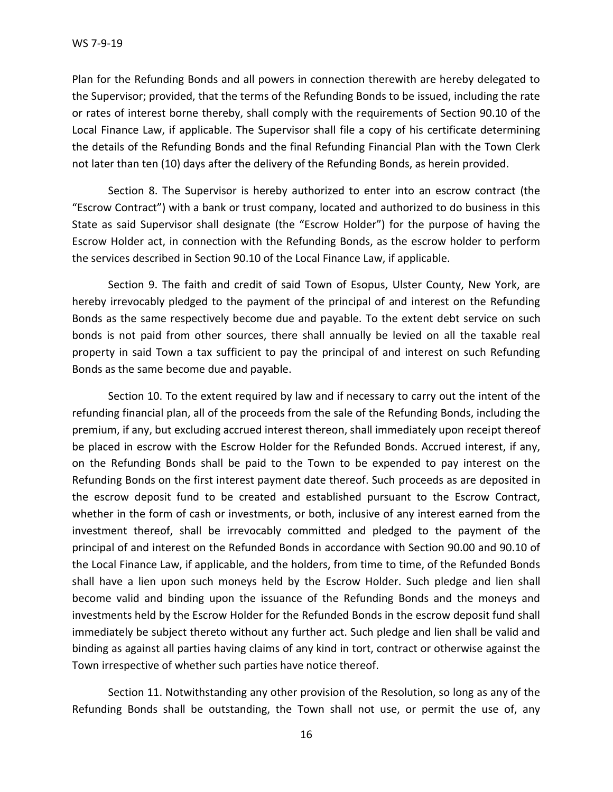Plan for the Refunding Bonds and all powers in connection therewith are hereby delegated to the Supervisor; provided, that the terms of the Refunding Bonds to be issued, including the rate or rates of interest borne thereby, shall comply with the requirements of Section 90.10 of the Local Finance Law, if applicable. The Supervisor shall file a copy of his certificate determining the details of the Refunding Bonds and the final Refunding Financial Plan with the Town Clerk not later than ten (10) days after the delivery of the Refunding Bonds, as herein provided.

Section 8. The Supervisor is hereby authorized to enter into an escrow contract (the "Escrow Contract") with a bank or trust company, located and authorized to do business in this State as said Supervisor shall designate (the "Escrow Holder") for the purpose of having the Escrow Holder act, in connection with the Refunding Bonds, as the escrow holder to perform the services described in Section 90.10 of the Local Finance Law, if applicable.

Section 9. The faith and credit of said Town of Esopus, Ulster County, New York, are hereby irrevocably pledged to the payment of the principal of and interest on the Refunding Bonds as the same respectively become due and payable. To the extent debt service on such bonds is not paid from other sources, there shall annually be levied on all the taxable real property in said Town a tax sufficient to pay the principal of and interest on such Refunding Bonds as the same become due and payable.

Section 10. To the extent required by law and if necessary to carry out the intent of the refunding financial plan, all of the proceeds from the sale of the Refunding Bonds, including the premium, if any, but excluding accrued interest thereon, shall immediately upon receipt thereof be placed in escrow with the Escrow Holder for the Refunded Bonds. Accrued interest, if any, on the Refunding Bonds shall be paid to the Town to be expended to pay interest on the Refunding Bonds on the first interest payment date thereof. Such proceeds as are deposited in the escrow deposit fund to be created and established pursuant to the Escrow Contract, whether in the form of cash or investments, or both, inclusive of any interest earned from the investment thereof, shall be irrevocably committed and pledged to the payment of the principal of and interest on the Refunded Bonds in accordance with Section 90.00 and 90.10 of the Local Finance Law, if applicable, and the holders, from time to time, of the Refunded Bonds shall have a lien upon such moneys held by the Escrow Holder. Such pledge and lien shall become valid and binding upon the issuance of the Refunding Bonds and the moneys and investments held by the Escrow Holder for the Refunded Bonds in the escrow deposit fund shall immediately be subject thereto without any further act. Such pledge and lien shall be valid and binding as against all parties having claims of any kind in tort, contract or otherwise against the Town irrespective of whether such parties have notice thereof.

Section 11. Notwithstanding any other provision of the Resolution, so long as any of the Refunding Bonds shall be outstanding, the Town shall not use, or permit the use of, any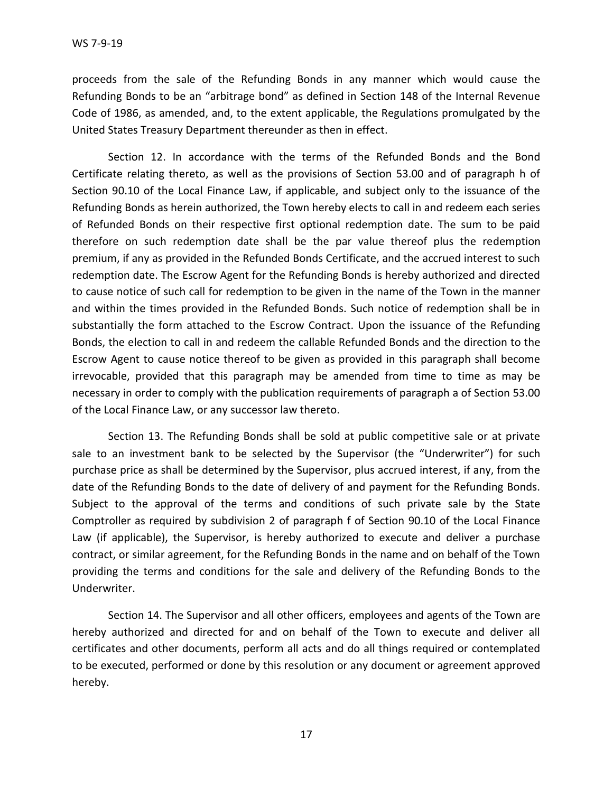proceeds from the sale of the Refunding Bonds in any manner which would cause the Refunding Bonds to be an "arbitrage bond" as defined in Section 148 of the Internal Revenue Code of 1986, as amended, and, to the extent applicable, the Regulations promulgated by the United States Treasury Department thereunder as then in effect.

Section 12. In accordance with the terms of the Refunded Bonds and the Bond Certificate relating thereto, as well as the provisions of Section 53.00 and of paragraph h of Section 90.10 of the Local Finance Law, if applicable, and subject only to the issuance of the Refunding Bonds as herein authorized, the Town hereby elects to call in and redeem each series of Refunded Bonds on their respective first optional redemption date. The sum to be paid therefore on such redemption date shall be the par value thereof plus the redemption premium, if any as provided in the Refunded Bonds Certificate, and the accrued interest to such redemption date. The Escrow Agent for the Refunding Bonds is hereby authorized and directed to cause notice of such call for redemption to be given in the name of the Town in the manner and within the times provided in the Refunded Bonds. Such notice of redemption shall be in substantially the form attached to the Escrow Contract. Upon the issuance of the Refunding Bonds, the election to call in and redeem the callable Refunded Bonds and the direction to the Escrow Agent to cause notice thereof to be given as provided in this paragraph shall become irrevocable, provided that this paragraph may be amended from time to time as may be necessary in order to comply with the publication requirements of paragraph a of Section 53.00 of the Local Finance Law, or any successor law thereto.

Section 13. The Refunding Bonds shall be sold at public competitive sale or at private sale to an investment bank to be selected by the Supervisor (the "Underwriter") for such purchase price as shall be determined by the Supervisor, plus accrued interest, if any, from the date of the Refunding Bonds to the date of delivery of and payment for the Refunding Bonds. Subject to the approval of the terms and conditions of such private sale by the State Comptroller as required by subdivision 2 of paragraph f of Section 90.10 of the Local Finance Law (if applicable), the Supervisor, is hereby authorized to execute and deliver a purchase contract, or similar agreement, for the Refunding Bonds in the name and on behalf of the Town providing the terms and conditions for the sale and delivery of the Refunding Bonds to the Underwriter.

Section 14. The Supervisor and all other officers, employees and agents of the Town are hereby authorized and directed for and on behalf of the Town to execute and deliver all certificates and other documents, perform all acts and do all things required or contemplated to be executed, performed or done by this resolution or any document or agreement approved hereby.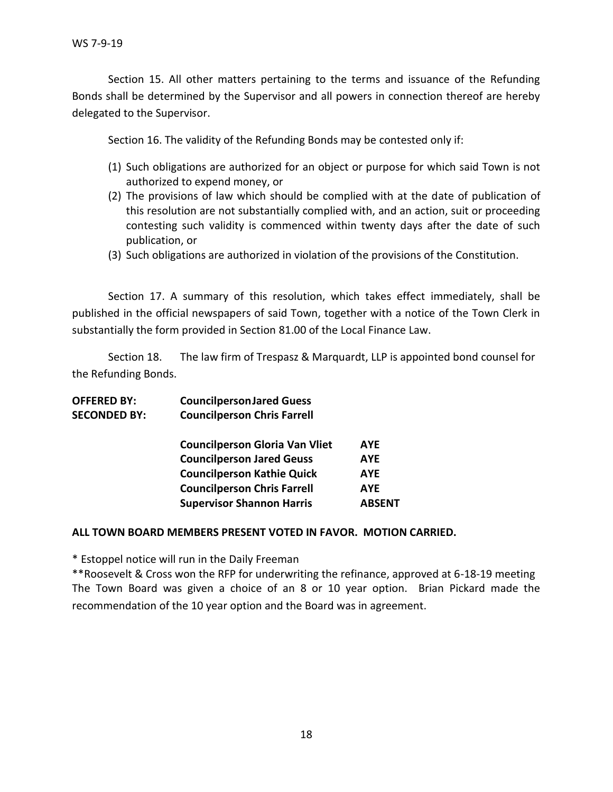Section 15. All other matters pertaining to the terms and issuance of the Refunding Bonds shall be determined by the Supervisor and all powers in connection thereof are hereby delegated to the Supervisor.

Section 16. The validity of the Refunding Bonds may be contested only if:

- (1) Such obligations are authorized for an object or purpose for which said Town is not authorized to expend money, or
- (2) The provisions of law which should be complied with at the date of publication of this resolution are not substantially complied with, and an action, suit or proceeding contesting such validity is commenced within twenty days after the date of such publication, or
- (3) Such obligations are authorized in violation of the provisions of the Constitution.

Section 17. A summary of this resolution, which takes effect immediately, shall be published in the official newspapers of said Town, together with a notice of the Town Clerk in substantially the form provided in Section 81.00 of the Local Finance Law.

Section 18. The law firm of Trespasz & Marquardt, LLP is appointed bond counsel for the Refunding Bonds.

| <b>OFFERED BY:</b>  | <b>Councilperson Jared Guess</b>      |               |  |
|---------------------|---------------------------------------|---------------|--|
| <b>SECONDED BY:</b> | <b>Councilperson Chris Farrell</b>    |               |  |
|                     | <b>Councilperson Gloria Van Vliet</b> | <b>AYE</b>    |  |
|                     | <b>Councilperson Jared Geuss</b>      | <b>AYE</b>    |  |
|                     | <b>Councilperson Kathie Quick</b>     | <b>AYE</b>    |  |
|                     | <b>Councilperson Chris Farrell</b>    | <b>AYE</b>    |  |
|                     | <b>Supervisor Shannon Harris</b>      | <b>ABSENT</b> |  |
|                     |                                       |               |  |

#### **ALL TOWN BOARD MEMBERS PRESENT VOTED IN FAVOR. MOTION CARRIED.**

\* Estoppel notice will run in the Daily Freeman

\*\*Roosevelt & Cross won the RFP for underwriting the refinance, approved at 6-18-19 meeting The Town Board was given a choice of an 8 or 10 year option. Brian Pickard made the recommendation of the 10 year option and the Board was in agreement.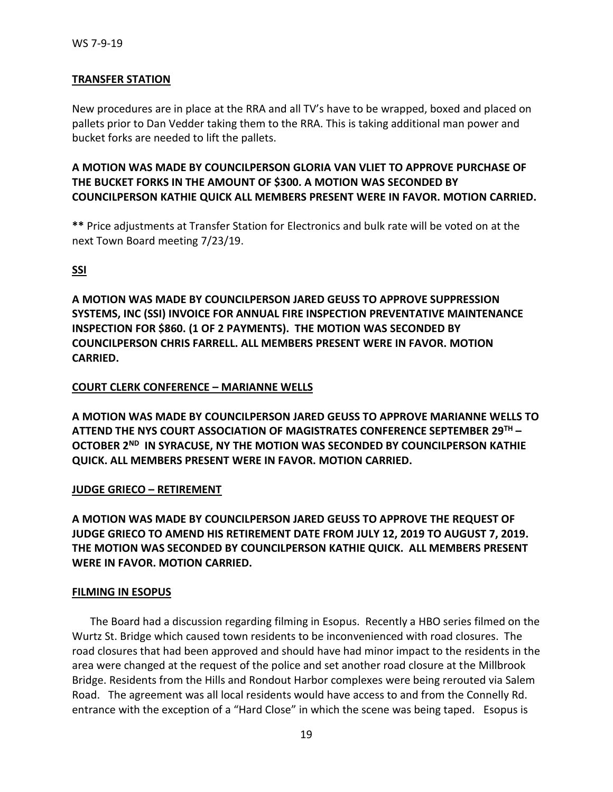## **TRANSFER STATION**

New procedures are in place at the RRA and all TV's have to be wrapped, boxed and placed on pallets prior to Dan Vedder taking them to the RRA. This is taking additional man power and bucket forks are needed to lift the pallets.

# **A MOTION WAS MADE BY COUNCILPERSON GLORIA VAN VLIET TO APPROVE PURCHASE OF THE BUCKET FORKS IN THE AMOUNT OF \$300. A MOTION WAS SECONDED BY COUNCILPERSON KATHIE QUICK ALL MEMBERS PRESENT WERE IN FAVOR. MOTION CARRIED.**

**\*\*** Price adjustments at Transfer Station for Electronics and bulk rate will be voted on at the next Town Board meeting 7/23/19.

## **SSI**

**A MOTION WAS MADE BY COUNCILPERSON JARED GEUSS TO APPROVE SUPPRESSION SYSTEMS, INC (SSI) INVOICE FOR ANNUAL FIRE INSPECTION PREVENTATIVE MAINTENANCE INSPECTION FOR \$860. (1 OF 2 PAYMENTS). THE MOTION WAS SECONDED BY COUNCILPERSON CHRIS FARRELL. ALL MEMBERS PRESENT WERE IN FAVOR. MOTION CARRIED.** 

## **COURT CLERK CONFERENCE – MARIANNE WELLS**

**A MOTION WAS MADE BY COUNCILPERSON JARED GEUSS TO APPROVE MARIANNE WELLS TO ATTEND THE NYS COURT ASSOCIATION OF MAGISTRATES CONFERENCE SEPTEMBER 29TH – OCTOBER 2ND IN SYRACUSE, NY THE MOTION WAS SECONDED BY COUNCILPERSON KATHIE QUICK. ALL MEMBERS PRESENT WERE IN FAVOR. MOTION CARRIED.** 

## **JUDGE GRIECO – RETIREMENT**

**A MOTION WAS MADE BY COUNCILPERSON JARED GEUSS TO APPROVE THE REQUEST OF JUDGE GRIECO TO AMEND HIS RETIREMENT DATE FROM JULY 12, 2019 TO AUGUST 7, 2019. THE MOTION WAS SECONDED BY COUNCILPERSON KATHIE QUICK. ALL MEMBERS PRESENT WERE IN FAVOR. MOTION CARRIED.** 

#### **FILMING IN ESOPUS**

The Board had a discussion regarding filming in Esopus. Recently a HBO series filmed on the Wurtz St. Bridge which caused town residents to be inconvenienced with road closures. The road closures that had been approved and should have had minor impact to the residents in the area were changed at the request of the police and set another road closure at the Millbrook Bridge. Residents from the Hills and Rondout Harbor complexes were being rerouted via Salem Road. The agreement was all local residents would have access to and from the Connelly Rd. entrance with the exception of a "Hard Close" in which the scene was being taped. Esopus is